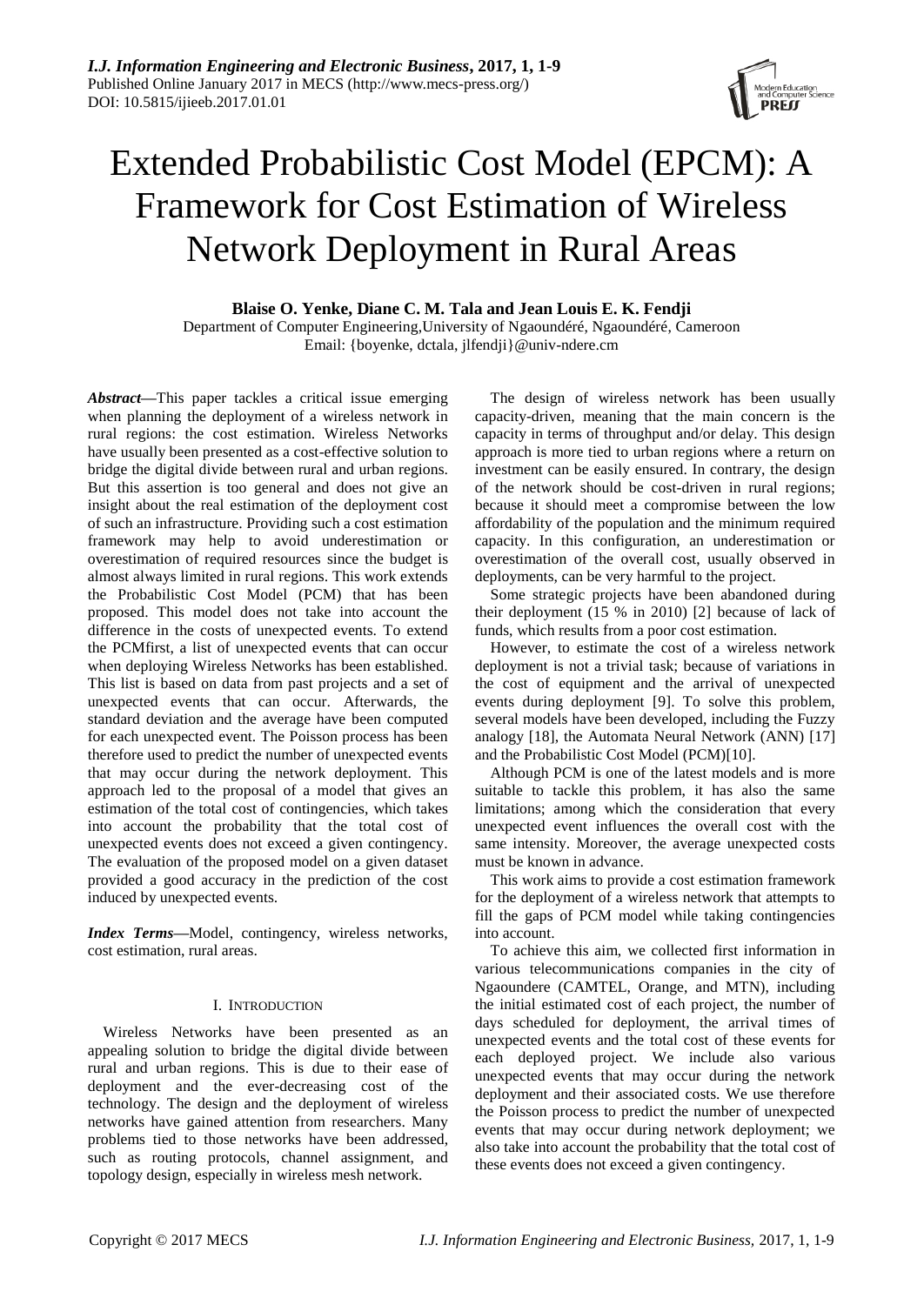

# Extended Probabilistic Cost Model (EPCM): A Framework for Cost Estimation of Wireless Network Deployment in Rural Areas

**Blaise O. Yenke, Diane C. M. Tala and Jean Louis E. K. Fendji**

Department of Computer Engineering, University of Ngaound éré, Ngaoundéré, Cameroon Email: {boyenke, dctala, jlfendji}@univ-ndere.cm

*Abstract***—**This paper tackles a critical issue emerging when planning the deployment of a wireless network in rural regions: the cost estimation. Wireless Networks have usually been presented as a cost-effective solution to bridge the digital divide between rural and urban regions. But this assertion is too general and does not give an insight about the real estimation of the deployment cost of such an infrastructure. Providing such a cost estimation framework may help to avoid underestimation or overestimation of required resources since the budget is almost always limited in rural regions. This work extends the Probabilistic Cost Model (PCM) that has been proposed. This model does not take into account the difference in the costs of unexpected events. To extend the PCMfirst, a list of unexpected events that can occur when deploying Wireless Networks has been established. This list is based on data from past projects and a set of unexpected events that can occur. Afterwards, the standard deviation and the average have been computed for each unexpected event. The Poisson process has been therefore used to predict the number of unexpected events that may occur during the network deployment. This approach led to the proposal of a model that gives an estimation of the total cost of contingencies, which takes into account the probability that the total cost of unexpected events does not exceed a given contingency. The evaluation of the proposed model on a given dataset provided a good accuracy in the prediction of the cost induced by unexpected events.

*Index Terms***—**Model, contingency, wireless networks, cost estimation, rural areas.

# I. INTRODUCTION

Wireless Networks have been presented as an appealing solution to bridge the digital divide between rural and urban regions. This is due to their ease of deployment and the ever-decreasing cost of the technology. The design and the deployment of wireless networks have gained attention from researchers. Many problems tied to those networks have been addressed, such as routing protocols, channel assignment, and topology design, especially in wireless mesh network.

The design of wireless network has been usually capacity-driven, meaning that the main concern is the capacity in terms of throughput and/or delay. This design approach is more tied to urban regions where a return on investment can be easily ensured. In contrary, the design of the network should be cost-driven in rural regions; because it should meet a compromise between the low affordability of the population and the minimum required capacity. In this configuration, an underestimation or overestimation of the overall cost, usually observed in deployments, can be very harmful to the project.

Some strategic projects have been abandoned during their deployment (15 % in 2010) [2] because of lack of funds, which results from a poor cost estimation.

However, to estimate the cost of a wireless network deployment is not a trivial task; because of variations in the cost of equipment and the arrival of unexpected events during deployment [9]. To solve this problem, several models have been developed, including the Fuzzy analogy [18], the Automata Neural Network (ANN) [17] and the Probabilistic Cost Model (PCM)[10].

Although PCM is one of the latest models and is more suitable to tackle this problem, it has also the same limitations; among which the consideration that every unexpected event influences the overall cost with the same intensity. Moreover, the average unexpected costs must be known in advance.

This work aims to provide a cost estimation framework for the deployment of a wireless network that attempts to fill the gaps of PCM model while taking contingencies into account.

To achieve this aim, we collected first information in various telecommunications companies in the city of Ngaoundere (CAMTEL, Orange, and MTN), including the initial estimated cost of each project, the number of days scheduled for deployment, the arrival times of unexpected events and the total cost of these events for each deployed project. We include also various unexpected events that may occur during the network deployment and their associated costs. We use therefore the Poisson process to predict the number of unexpected events that may occur during network deployment; we also take into account the probability that the total cost of these events does not exceed a given contingency.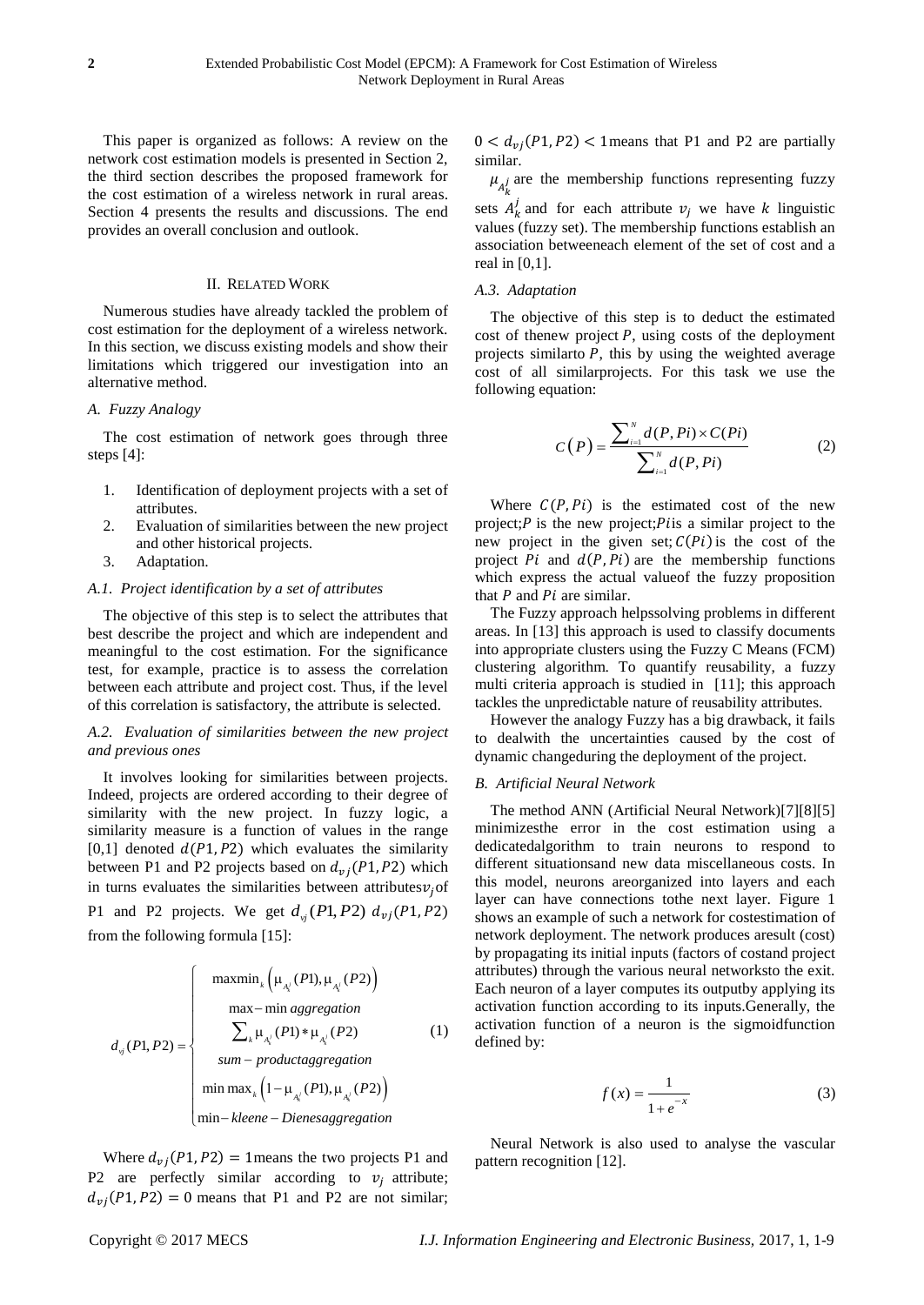This paper is organized as follows: A review on the network cost estimation models is presented in Section 2, the third section describes the proposed framework for the cost estimation of a wireless network in rural areas. Section 4 presents the results and discussions. The end provides an overall conclusion and outlook.

# II. RELATED WORK

Numerous studies have already tackled the problem of cost estimation for the deployment of a wireless network. In this section, we discuss existing models and show their limitations which triggered our investigation into an alternative method.

### *A. Fuzzy Analogy*

The cost estimation of network goes through three steps [4]:

- 1. Identification of deployment projects with a set of attributes.
- 2. Evaluation of similarities between the new project and other historical projects.
- 3. Adaptation.

# *A.1. Project identification by a set of attributes*

The objective of this step is to select the attributes that best describe the project and which are independent and meaningful to the cost estimation. For the significance test, for example, practice is to assess the correlation between each attribute and project cost. Thus, if the level of this correlation is satisfactory, the attribute is selected.

# *A.2. Evaluation of similarities between the new project and previous ones*

It involves looking for similarities between projects. Indeed, projects are ordered according to their degree of similarity with the new project. In fuzzy logic, a similarity measure is a function of values in the range [0,1] denoted  $d(P1, P2)$  which evaluates the similarity between P1 and P2 projects based on  $d_{vi}(P1, P2)$  which in turns evaluates the similarities between attributes  $v_i$  of P1 and P2 projects. We get  $d_{\gamma}(P1, P2)$  *d* from the following formula [15]:

$$
d_{\mathbf{y}}(P1, P2) = \begin{cases} \max_{\mathbf{m}} \ln_k \left( \mu_{\mathbf{A}_k^i}(P1), \mu_{\mathbf{A}_k^i}(P2) \right) \\ \max - \min_{\mathbf{A}_k^i}(P1) * \mu_{\mathbf{A}_k^i}(P2) \\ \sum_{k} \mu_{\mathbf{A}_k^i}(P1) * \mu_{\mathbf{A}_k^i}(P2) \\ \min - \text{productaggregation} \\ \min_{k} \left( 1 - \mu_{\mathbf{A}_k^i}(P1), \mu_{\mathbf{A}_k^i}(P2) \right) \\ \min - \text{kleene} - \text{Dienesaggregation} \end{cases} \tag{1}
$$

Where  $d_{\nu i}(P1, P2) = 1$  means the two projects P1 and P2 are perfectly similar according to  $v_i$  attribute;  $d_{vi}(P1, P2) = 0$  means that P1 and P2 are not similar;

 $0 < d_{vi}(P1, P2) < 1$  means that P1 and P2 are partially similar.

 $\mu_{A_k^j}$  are the membership functions representing fuzzy sets  $A_k^j$  and for each attribute  $v_i$  we have k linguistic

values (fuzzy set). The membership functions establish an association betweeneach element of the set of cost and a real in [0,1].

# *A.3. Adaptation*

The objective of this step is to deduct the estimated cost of thenew project  $P$ , using costs of the deployment projects similarto  $P$ , this by using the weighted average cost of all similarprojects. For this task we use the following equation:

$$
C(P) = \frac{\sum_{i=1}^{N} d(P, Pi) \times C(Pi)}{\sum_{i=1}^{N} d(P, Pi)}
$$
 (2)

Where  $C(P, Pi)$  is the estimated cost of the new project;  $P$  is the new project;  $P$  is a similar project to the new project in the given set;  $C(P_i)$  is the cost of the project  $Pi$  and  $d(P, Pi)$  are the membership functions which express the actual valueof the fuzzy proposition that  $P$  and  $Pi$  are similar.

The Fuzzy approach helpssolving problems in different areas. In [13] this approach is used to classify documents into appropriate clusters using the Fuzzy C Means (FCM) clustering algorithm. To quantify reusability, a fuzzy multi criteria approach is studied in [11]; this approach tackles the unpredictable nature of reusability attributes.

However the analogy Fuzzy has a big drawback, it fails to dealwith the uncertainties caused by the cost of dynamic changeduring the deployment of the project.

# *B. Artificial Neural Network*

The method ANN (Artificial Neural Network)[7][8][5] minimizesthe error in the cost estimation using a dedicatedalgorithm to train neurons to respond to different situationsand new data miscellaneous costs. In this model, neurons areorganized into layers and each layer can have connections tothe next layer. Figure 1 shows an example of such a network for costestimation of network deployment. The network produces aresult (cost) by propagating its initial inputs (factors of costand project attributes) through the various neural networksto the exit. Each neuron of a layer computes its outputby applying its activation function according to its inputs.Generally, the activation function of a neuron is the sigmoidfunction defined by:

$$
f(x) = \frac{1}{1 + e^{-x}}\tag{3}
$$

Neural Network is also used to analyse the vascular pattern recognition [12].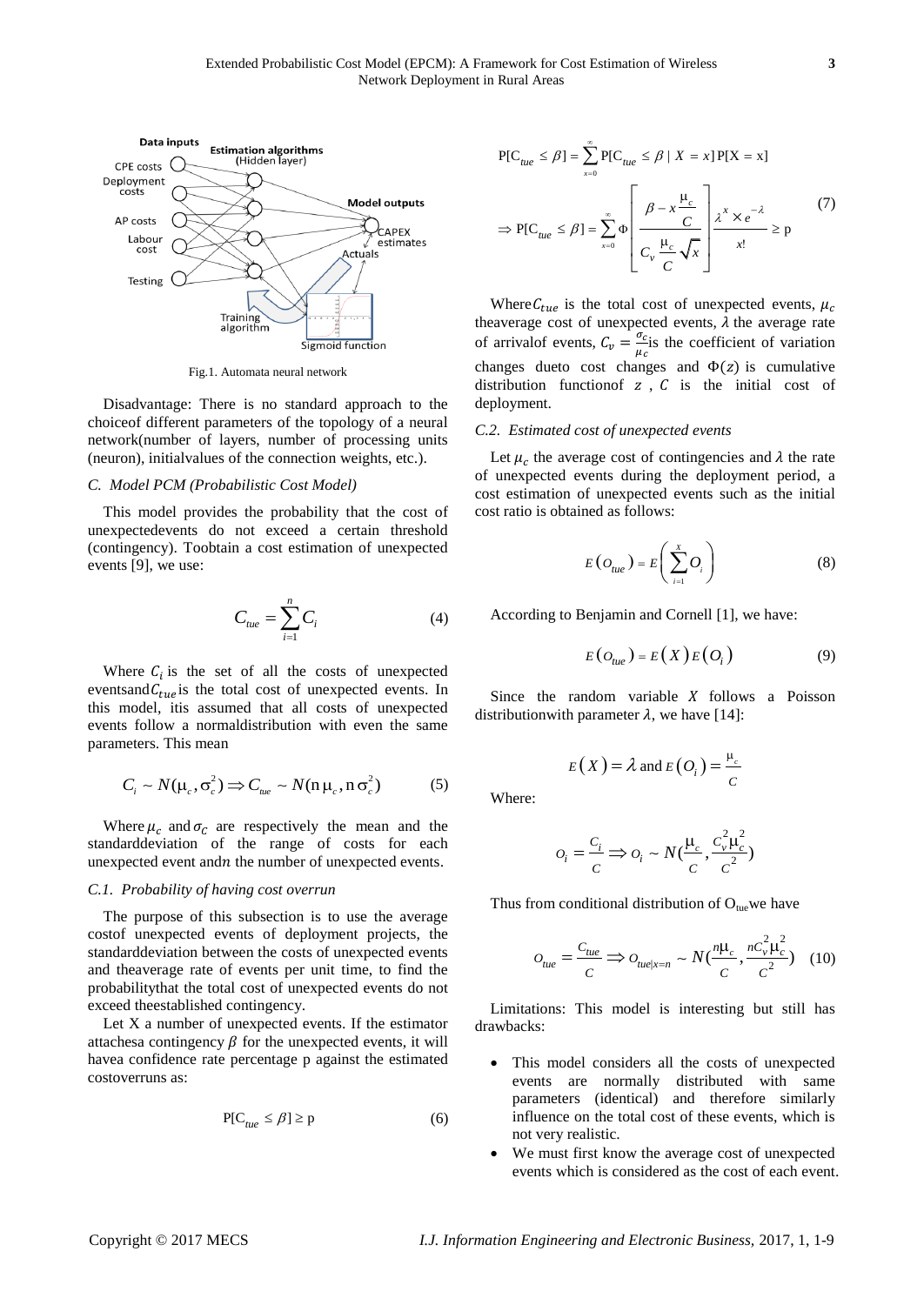

Fig.1. Automata neural network

Disadvantage: There is no standard approach to the choiceof different parameters of the topology of a neural network(number of layers, number of processing units (neuron), initialvalues of the connection weights, etc.).

# *C. Model PCM (Probabilistic Cost Model)*

This model provides the probability that the cost of unexpectedevents do not exceed a certain threshold (contingency). Toobtain a cost estimation of unexpected events [9], we use:

$$
C_{\text{tue}} = \sum_{i=1}^{n} C_i \tag{4}
$$

Where  $C_i$  is the set of all the costs of unexpected eventsand  $C_{true}$  is the total cost of unexpected events. In this model, itis assumed that all costs of unexpected events follow a normaldistribution with even the same parameters. This mean

$$
C_i \sim N(\mu_c, \sigma_c^2) \Longrightarrow C_{\mu e} \sim N(n \mu_c, n \sigma_c^2)
$$
 (5)

Where  $\mu_c$  and  $\sigma_c$  are respectively the mean and the standarddeviation of the range of costs for each unexpected event and *n* the number of unexpected events.

# *C.1. Probability of having cost overrun*

The purpose of this subsection is to use the average costof unexpected events of deployment projects, the standarddeviation between the costs of unexpected events and theaverage rate of events per unit time, to find the probabilitythat the total cost of unexpected events do not exceed theestablished contingency.

Let X a number of unexpected events. If the estimator attachesa contingency  $\beta$  for the unexpected events, it will havea confidence rate percentage p against the estimated costoverruns as:

$$
P[C_{\text{true}} \le \beta] \ge p \tag{6}
$$

$$
P[C_{tue} \le \beta] = \sum_{x=0}^{\infty} P[C_{tue} \le \beta | X = x] P[X = x]
$$
  
\n
$$
\Rightarrow P[C_{tue} \le \beta] = \sum_{x=0}^{\infty} \Phi \left[ \frac{\beta - x \frac{\mu_c}{C}}{C_v \frac{\mu_c}{C} \sqrt{x}} \right] \frac{\lambda^x \times e^{-\lambda}}{x!} \ge p
$$
\n(7)

Where  $C_{true}$  is the total cost of unexpected events,  $\mu_c$ theaverage cost of unexpected events,  $\lambda$  the average rate of arrival<br>of events,  $C_v = \frac{\sigma}{v}$  $\frac{\partial c}{\partial \mu_c}$  is the coefficient of variation changes dueto cost changes and  $\Phi(z)$  is cumulative distribution function for  $z$ ,  $C$  is the initial cost of deployment.

#### *C.2. Estimated cost of unexpected events*

Let  $\mu_c$  the average cost of contingencies and  $\lambda$  the rate of unexpected events during the deployment period, a cost estimation of unexpected events such as the initial cost ratio is obtained as follows:

$$
E\left(O_{tue}\right) = E\left(\sum_{i=1}^{X} O_i\right) \tag{8}
$$

According to Benjamin and Cornell [1], we have:

$$
E(O_{tue}) = E(X)E(O_i)
$$
 (9)

Since the random variable  $X$  follows a Poisson distribution with parameter  $\lambda$ , we have [14]:

$$
E(X) = \lambda \text{ and } E(O_i) = \frac{\mu_c}{C}
$$

Where:

$$
o_i = \frac{c_i}{c} \Longrightarrow o_i \sim N(\frac{\mu_c}{c}, \frac{c_v^2 \mu_c^2}{c^2})
$$

Thus from conditional distribution of  $O_{\text{tue}}$  we have

$$
O_{tue} = \frac{C_{tue}}{C} \Longrightarrow O_{tue|x=n} \sim N(\frac{n\mu_c}{C}, \frac{nC_v^2\mu_c^2}{C^2}) \quad (10)
$$

Limitations: This model is interesting but still has drawbacks:

- This model considers all the costs of unexpected events are normally distributed with same parameters (identical) and therefore similarly influence on the total cost of these events, which is not very realistic.
- We must first know the average cost of unexpected events which is considered as the cost of each event.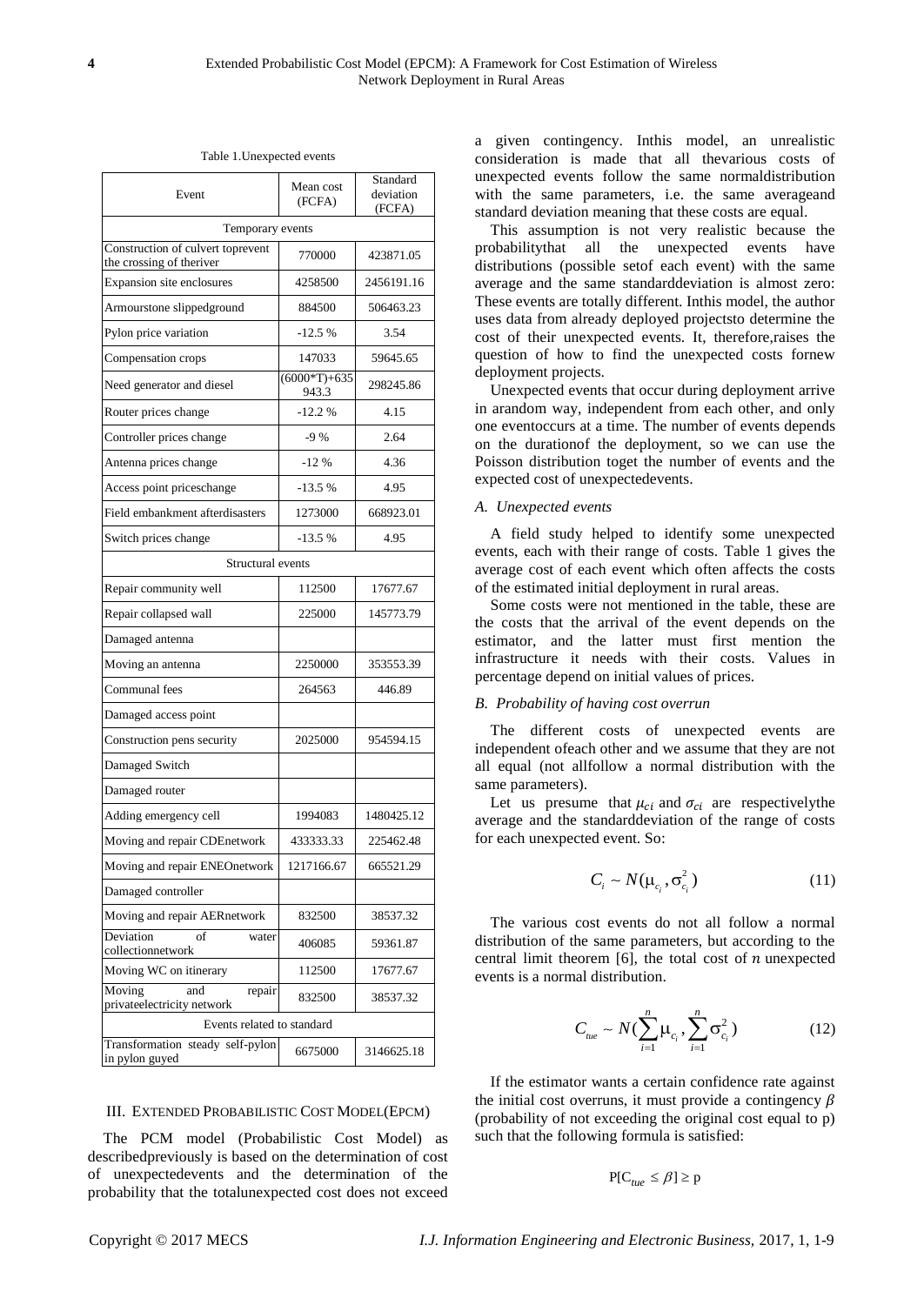| Event                                                         | Mean cost<br>(FCFA)     | Standard<br>deviation<br>(FCFA) |  |  |  |
|---------------------------------------------------------------|-------------------------|---------------------------------|--|--|--|
| Temporary events                                              |                         |                                 |  |  |  |
| Construction of culvert toprevent<br>the crossing of theriver | 770000                  | 423871.05                       |  |  |  |
| Expansion site enclosures                                     | 4258500                 | 2456191.16                      |  |  |  |
| Armourstone slippedground                                     | 884500                  | 506463.23                       |  |  |  |
| Pylon price variation                                         | $-12.5%$                | 3.54                            |  |  |  |
| Compensation crops                                            | 147033                  | 59645.65                        |  |  |  |
| Need generator and diesel                                     | $(6000*T)+635$<br>943.3 | 298245.86                       |  |  |  |
| Router prices change                                          | $-12.2%$                | 4.15                            |  |  |  |
| Controller prices change                                      | $-9%$                   | 2.64                            |  |  |  |
| Antenna prices change                                         | $-12%$                  | 4.36                            |  |  |  |
| Access point priceschange                                     | $-13.5%$                | 4.95                            |  |  |  |
| Field embankment afterdisasters                               | 1273000                 | 668923.01                       |  |  |  |
| Switch prices change                                          | $-13.5%$                | 4.95                            |  |  |  |
| Structural events                                             |                         |                                 |  |  |  |
| Repair community well                                         | 112500                  | 17677.67                        |  |  |  |
| Repair collapsed wall                                         | 225000                  | 145773.79                       |  |  |  |
| Damaged antenna                                               |                         |                                 |  |  |  |
| Moving an antenna                                             | 2250000                 | 353553.39                       |  |  |  |
| Communal fees                                                 | 264563                  | 446.89                          |  |  |  |
| Damaged access point                                          |                         |                                 |  |  |  |
| Construction pens security                                    | 2025000                 | 954594.15                       |  |  |  |
| Damaged Switch                                                |                         |                                 |  |  |  |
| Damaged router                                                |                         |                                 |  |  |  |
| Adding emergency cell                                         | 1994083                 | 1480425.12                      |  |  |  |
| Moving and repair CDEnetwork                                  | 433333.33               | 225462.48                       |  |  |  |
| Moving and repair ENEOnetwork                                 | 1217166.67              | 665521.29                       |  |  |  |
| Damaged controller                                            |                         |                                 |  |  |  |
| Moving and repair AERnetwork                                  | 832500                  | 38537.32                        |  |  |  |
| Deviation<br>of<br>water<br>collectionnetwork                 | 406085                  | 59361.87                        |  |  |  |
| Moving WC on itinerary                                        | 112500                  | 17677.67                        |  |  |  |
| Moving<br>and<br>repair<br>privateelectricity network         | 832500                  | 38537.32                        |  |  |  |
| Events related to standard                                    |                         |                                 |  |  |  |
| Transformation steady self-pylon<br>in pylon guyed            | 6675000                 | 3146625.18                      |  |  |  |

Table 1.Unexpected events

#### III. EXTENDED PROBABILISTIC COST MODEL(EPCM)

The PCM model (Probabilistic Cost Model) as describedpreviously is based on the determination of cost of unexpectedevents and the determination of the probability that the totalunexpected cost does not exceed a given contingency. Inthis model, an unrealistic consideration is made that all thevarious costs of unexpected events follow the same normaldistribution with the same parameters, i.e. the same averageand standard deviation meaning that these costs are equal.

This assumption is not very realistic because the probabilitythat all the unexpected events have distributions (possible setof each event) with the same average and the same standarddeviation is almost zero: These events are totally different. Inthis model, the author uses data from already deployed projectsto determine the cost of their unexpected events. It, therefore,raises the question of how to find the unexpected costs fornew deployment projects.

Unexpected events that occur during deployment arrive in arandom way, independent from each other, and only one eventoccurs at a time. The number of events depends on the durationof the deployment, so we can use the Poisson distribution toget the number of events and the expected cost of unexpectedevents.

### *A. Unexpected events*

A field study helped to identify some unexpected events, each with their range of costs. Table 1 gives the average cost of each event which often affects the costs of the estimated initial deployment in rural areas.

Some costs were not mentioned in the table, these are the costs that the arrival of the event depends on the estimator, and the latter must first mention the infrastructure it needs with their costs. Values in percentage depend on initial values of prices.

# *B. Probability of having cost overrun*

The different costs of unexpected events are independent ofeach other and we assume that they are not all equal (not allfollow a normal distribution with the same parameters).

Let us presume that  $\mu_{ci}$  and  $\sigma_{ci}$  are respectively the average and the standarddeviation of the range of costs for each unexpected event. So:

$$
C_i \sim N(\mu_{c_i}, \sigma_{c_i}^2)
$$
 (11)

The various cost events do not all follow a normal distribution of the same parameters, but according to the central limit theorem [6], the total cost of  $n$  unexpected events is a normal distribution.

$$
C_{ue} \sim N(\sum_{i=1}^{n} \mu_{c_i}, \sum_{i=1}^{n} \sigma_{c_i}^2)
$$
 (12)

If the estimator wants a certain confidence rate against the initial cost overruns, it must provide a contingency  $\beta$ (probability of not exceeding the original cost equal to p) such that the following formula is satisfied:

$$
P[C_{\text{true}} \leq \beta] \geq p
$$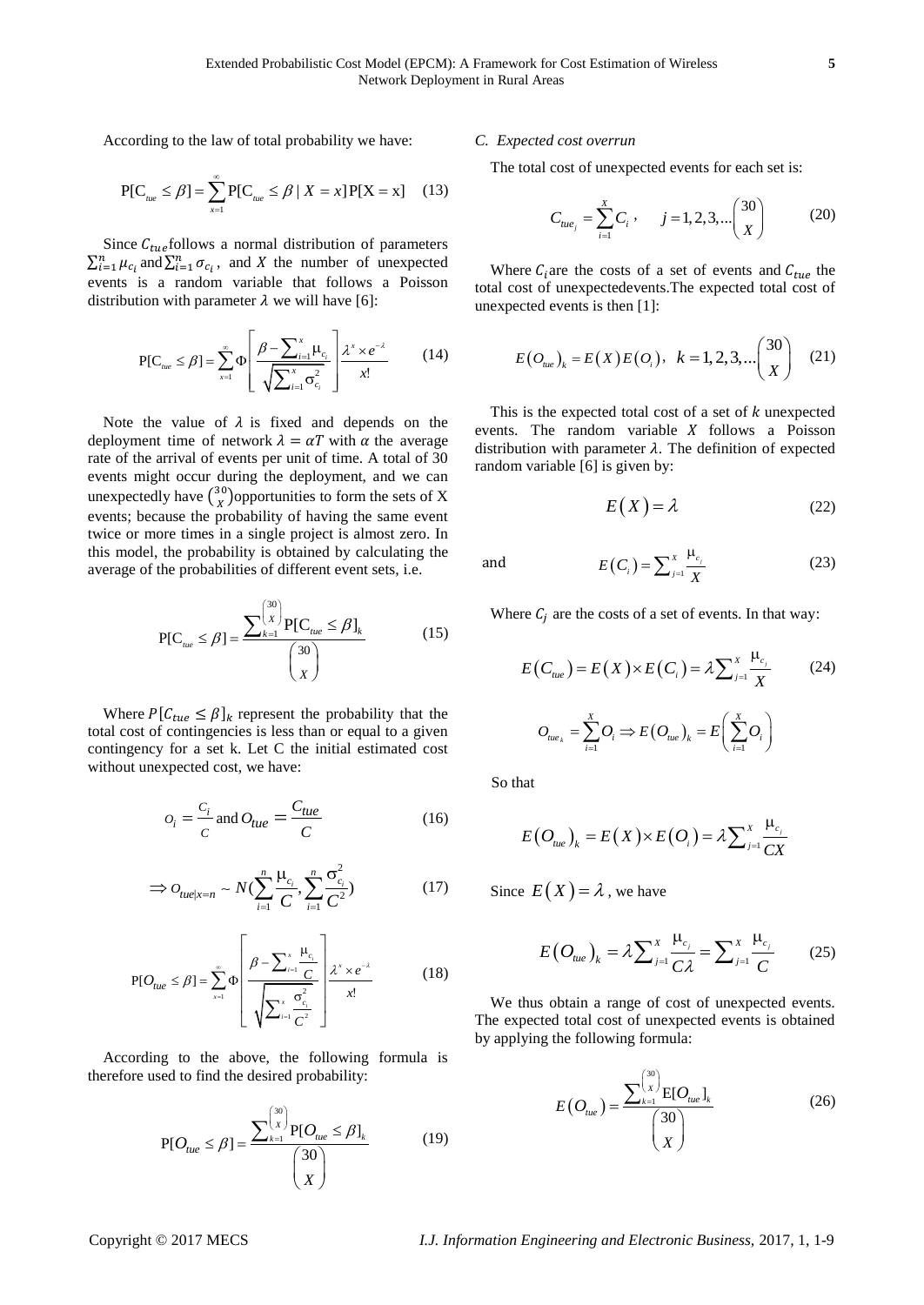According to the law of total probability we have:

$$
P[C_{\text{nue}} \le \beta] = \sum_{x=1}^{\infty} P[C_{\text{nue}} \le \beta \mid X = x] P[X = x] \quad (13)
$$

Since  $C_{true}$  follows a normal distribution of parameters  $\sum_{i=1}^{n} \mu_{c_i}$  and  $\sum_{i=1}^{n} \sigma_{c_i}$ , and X the number of unexpected events is a random variable that follows a Poisson distribution with parameter  $\lambda$  we will have [6]:

$$
P[C_{\text{true}} \leq \beta] = \sum_{x=1}^{\infty} \Phi \left[ \frac{\beta - \sum_{i=1}^{x} \mu_{c_i}}{\sqrt{\sum_{i=1}^{x} \sigma_{c_i}^2}} \right] \frac{\lambda^x \times e^{-\lambda}}{x!}
$$
 (14)

Note the value of  $\lambda$  is fixed and depends on the deployment time of network  $\lambda = \alpha T$  with  $\alpha$  the average rate of the arrival of events per unit of time. A total of 30 events might occur during the deployment, and we can unexpectedly have  $\binom{3}{1}$  $\binom{30}{X}$ opportunities to form the sets of X events; because the probability of having the same event twice or more times in a single project is almost zero. In this model, the probability is obtained by calculating the average of the probabilities of different event sets, i.e.

$$
P[C_{\text{nuc}} \le \beta] = \frac{\sum_{k=1}^{30} P[C_{\text{nuc}} \le \beta]_k}{\binom{30}{X}}
$$
(15)

Where  $P[C_{true} \leq \beta]_k$  represent the probability that the total cost of contingencies is less than or equal to a given contingency for a set k. Let C the initial estimated cost without unexpected cost, we have:

$$
O_i = \frac{C_i}{C} \text{ and } O_{tue} = \frac{C_{tue}}{C}
$$
 (16)

$$
\Rightarrow O_{tuel|x=n} \sim N(\sum_{i=1}^{n} \frac{\mu_{c_i}}{C}, \sum_{i=1}^{n} \frac{\sigma_{c_i}^2}{C^2})
$$
(17)

$$
P[O_{tue} \le \beta] = \sum_{x=1}^{\infty} \Phi \left[ \frac{\beta - \sum_{i=1}^{x} \frac{\mu_{c_i}}{C}}{\sqrt{\sum_{i=1}^{x} \frac{\sigma_{c_i}^2}{C}}}\right] \frac{\lambda^x \times e^{-\lambda}}{x!}
$$
(18)

According to the above, the following formula is therefore used to find the desired probability:

$$
P[O_{tue} \le \beta] = \frac{\sum_{k=1}^{30} P[O_{tue} \le \beta]_k}{30}
$$
 (19)

#### *C. Expected cost overrun*

The total cost of unexpected events for each set is:

$$
C_{tue_j} = \sum_{i=1}^{X} C_i, \qquad j = 1, 2, 3, \dots \binom{30}{X} \tag{20}
$$

Where  $C_i$  are the costs of a set of events and  $C_{true}$  the total cost of unexpectedevents.The expected total cost of unexpected events is then [1]:

$$
E(O_{\text{nue}})_k = E(X)E(O_i), \ \ k = 1, 2, 3, \dots \binom{30}{X} \tag{21}
$$

This is the expected total cost of a set of  $k$  unexpected events. The random variable  $X$  follows a Poisson distribution with parameter  $\lambda$ . The definition of expected random variable [6] is given by:

$$
E(X) = \lambda \tag{22}
$$

and

Where  $C_i$  are the costs of a set of events. In that way:

 $(C_i) = \sum_{j=1}^{A}$  $E(C_i) = \sum_{j=1}^X \frac{\mu_{c_j}}{V}$  $C_i$ ) =  $\sum_{j=1}^{X} \frac{C_i}{X}$  $=\sum_{j=1}^x\frac{\mu_j}{\lambda_j}$ 

$$
E(C_{tue}) = E(X) \times E(C_i) = \lambda \sum_{j=1}^{X} \frac{\mu_{c_j}}{X}
$$
 (24)  

$$
O_{tue_k} = \sum_{i=1}^{X} O_i \Rightarrow E(O_{tue})_k = E\left(\sum_{i=1}^{X} O_i\right)
$$

So that

$$
E\big(O_{\scriptscriptstyle tue}\big)_k = E\big(X\big) \times E\big(O_i\big) = \lambda \sum\nolimits_{j=1}^X \frac{\mu_{c_j}}{CX}
$$

Since  $E(X) = \lambda$ , we have

$$
E(O_{\mu e})_k = \lambda \sum_{j=1}^{X} \frac{\mu_{c_j}}{C \lambda} = \sum_{j=1}^{X} \frac{\mu_{c_j}}{C}
$$
 (25)

We thus obtain a range of cost of unexpected events. The expected total cost of unexpected events is obtained by applying the following formula:

$$
E(O_{ue}) = \frac{\sum_{k=1}^{\binom{30}{X}} E[O_{ue}]_k}{\binom{30}{X}}
$$
(26)

(23)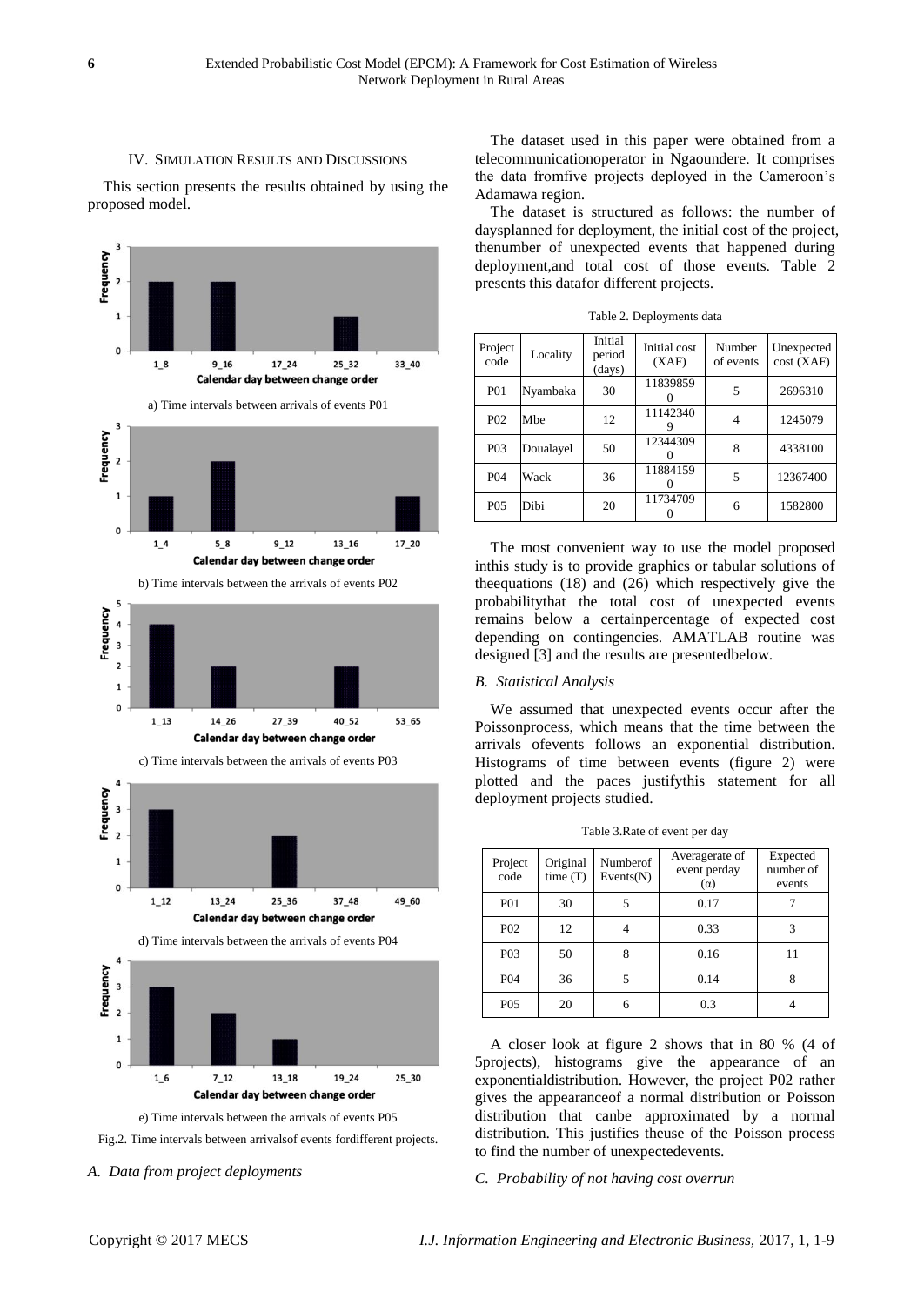#### IV. SIMULATION RESULTS AND DISCUSSIONS

This section presents the results obtained by using the proposed model.



Fig.2. Time intervals between arrivalsof events fordifferent projects.

#### *A. Data from project deployments*

The dataset used in this paper were obtained from a telecommunicationoperator in Ngaoundere. It comprises the data fromfive projects deployed in the Cameroon's Adamawa region.

The dataset is structured as follows: the number of daysplanned for deployment, the initial cost of the project, thenumber of unexpected events that happened during deployment,and total cost of those events. Table 2 presents this datafor different projects.

| Project<br>code  | Locality  | Initial<br>period<br>(days) | Initial cost<br>(XAF) | Number<br>of events | Unexpected<br>cost(XAF) |
|------------------|-----------|-----------------------------|-----------------------|---------------------|-------------------------|
| <b>PO1</b>       | Nyambaka  | 30                          | 11839859              | 5                   | 2696310                 |
| <b>P02</b>       | Mbe       | 12                          | 11142340              | 4                   | 1245079                 |
| P <sub>0</sub> 3 | Doualayel | 50                          | 12344309              | 8                   | 4338100                 |
| <b>P04</b>       | Wack      | 36                          | 11884159              | 5                   | 12367400                |
| P <sub>05</sub>  | Dibi      | 20                          | 11734709              | 6                   | 1582800                 |

Table 2. Deployments data

The most convenient way to use the model proposed inthis study is to provide graphics or tabular solutions of theequations (18) and (26) which respectively give the probabilitythat the total cost of unexpected events remains below a certainpercentage of expected cost depending on contingencies. AMATLAB routine was designed [3] and the results are presentedbelow.

#### *B. Statistical Analysis*

We assumed that unexpected events occur after the Poissonprocess, which means that the time between the arrivals ofevents follows an exponential distribution. Histograms of time between events (figure 2) were plotted and the paces justifythis statement for all deployment projects studied.

Table 3.Rate of event per day

| Project<br>code  | Original<br>time(T) | Numberof<br>Events(N) | Averagerate of<br>event perday<br>$(\alpha)$ | Expected<br>number of<br>events |
|------------------|---------------------|-----------------------|----------------------------------------------|---------------------------------|
| <b>PO1</b>       | 30                  |                       | 0.17                                         |                                 |
| P <sub>0</sub> 2 | 12                  |                       | 0.33                                         | 3                               |
| P <sub>0</sub> 3 | 50                  |                       | 0.16                                         | 11                              |
| P <sub>04</sub>  | 36                  | 5                     | 0.14                                         | 8                               |
| P <sub>05</sub>  | 20                  |                       | 0.3                                          |                                 |

A closer look at figure 2 shows that in 80 % (4 of 5projects), histograms give the appearance of an exponentialdistribution. However, the project P02 rather gives the appearanceof a normal distribution or Poisson distribution that canbe approximated by a normal distribution. This justifies theuse of the Poisson process to find the number of unexpectedevents.

*C. Probability of not having cost overrun*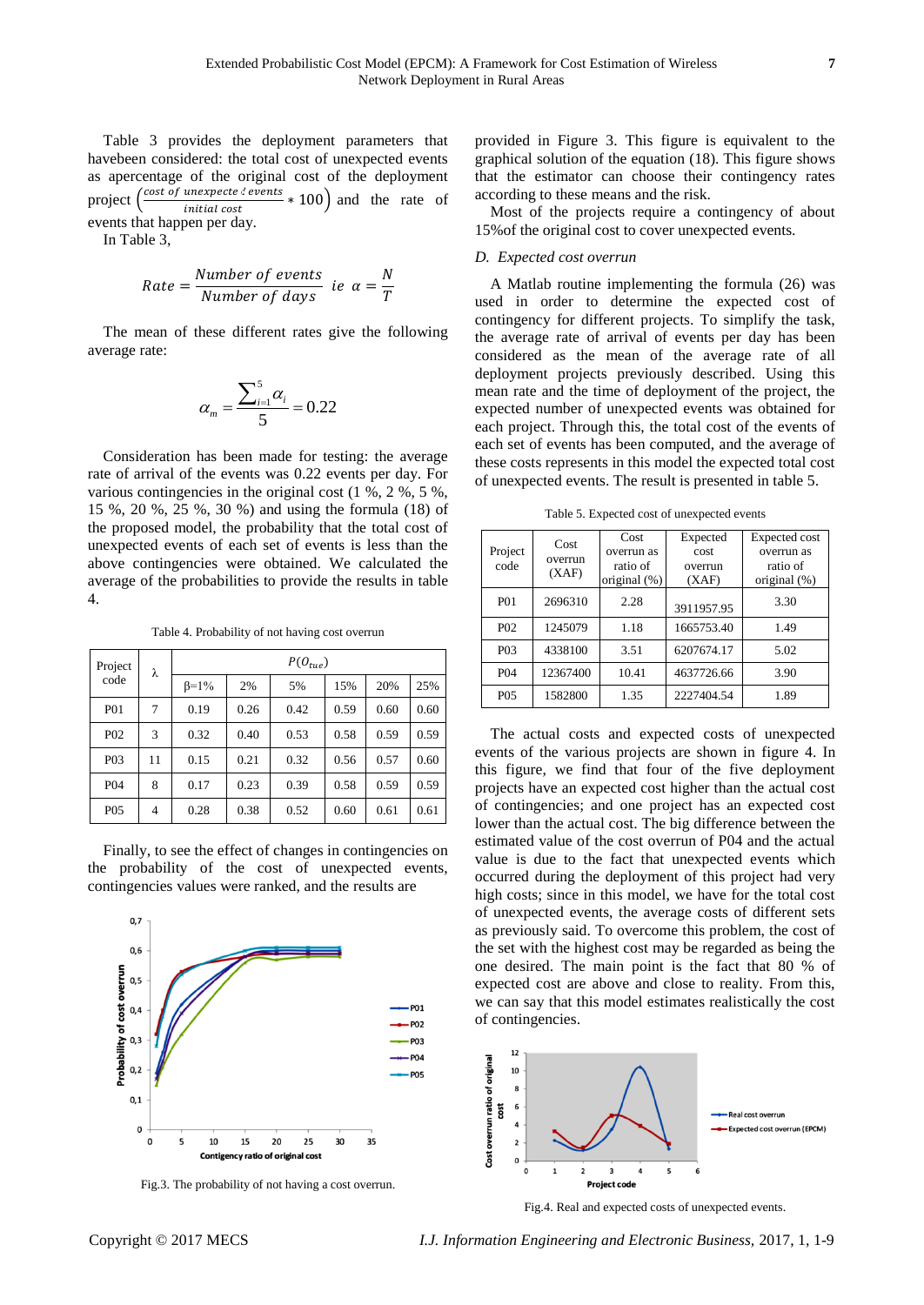Table 3 provides the deployment parameters that havebeen considered: the total cost of unexpected events as apercentage of the original cost of the deployment project  $\left(\frac{\text{cost of unexpected events}}{\text{initial cost}} * 100\right)$  and the rate of *initial cost* events that happen per day.

In Table 3,

Rate = 
$$
\frac{Number\ of\ events}{Number\ of\ days}\ ie\ \alpha = \frac{N}{T}
$$

The mean of these different rates give the following average rate:

$$
\alpha_m = \frac{\sum_{i=1}^5 \alpha_i}{5} = 0.22
$$

Consideration has been made for testing: the average rate of arrival of the events was 0.22 events per day. For various contingencies in the original cost (1 %, 2 %, 5 %, 15 %, 20 %, 25 %, 30 %) and using the formula (18) of the proposed model, the probability that the total cost of unexpected events of each set of events is less than the above contingencies were obtained. We calculated the average of the probabilities to provide the results in table 4.

Table 4. Probability of not having cost overrun

| Project          | λ  | $P(O_{true})$ |      |      |      |      |      |
|------------------|----|---------------|------|------|------|------|------|
| code             |    | $\beta = 1\%$ | 2%   | 5%   | 15%  | 20%  | 25%  |
| <b>P01</b>       | 7  | 0.19          | 0.26 | 0.42 | 0.59 | 0.60 | 0.60 |
| P <sub>02</sub>  | 3  | 0.32          | 0.40 | 0.53 | 0.58 | 0.59 | 0.59 |
| P <sub>0</sub> 3 | 11 | 0.15          | 0.21 | 0.32 | 0.56 | 0.57 | 0.60 |
| P <sub>04</sub>  | 8  | 0.17          | 0.23 | 0.39 | 0.58 | 0.59 | 0.59 |
| P <sub>05</sub>  | 4  | 0.28          | 0.38 | 0.52 | 0.60 | 0.61 | 0.61 |

Finally, to see the effect of changes in contingencies on the probability of the cost of unexpected events, contingencies values were ranked, and the results are



Fig.3. The probability of not having a cost overrun.

provided in Figure 3. This figure is equivalent to the graphical solution of the equation (18). This figure shows that the estimator can choose their contingency rates according to these means and the risk.

Most of the projects require a contingency of about 15%of the original cost to cover unexpected events.

# *D. Expected cost overrun*

A Matlab routine implementing the formula (26) was used in order to determine the expected cost of contingency for different projects. To simplify the task, the average rate of arrival of events per day has been considered as the mean of the average rate of all deployment projects previously described. Using this mean rate and the time of deployment of the project, the expected number of unexpected events was obtained for each project. Through this, the total cost of the events of each set of events has been computed, and the average of these costs represents in this model the expected total cost of unexpected events. The result is presented in table 5.

Table 5. Expected cost of unexpected events

| Project<br>code  | Cost<br>overrun<br>(XAF) | Cost<br>overrun as<br>ratio of<br>original $(\%)$ | Expected<br>cost<br>overrun<br>(XAF) | Expected cost<br>overrun as<br>ratio of<br>original (%) |
|------------------|--------------------------|---------------------------------------------------|--------------------------------------|---------------------------------------------------------|
| <b>P01</b>       | 2696310                  | 2.28                                              | 3911957.95                           | 3.30                                                    |
| P <sub>0</sub> 2 | 1245079                  | 1.18                                              | 1665753.40                           | 1.49                                                    |
| P <sub>0</sub> 3 | 4338100                  | 3.51                                              | 6207674.17                           | 5.02                                                    |
| P <sub>04</sub>  | 12367400                 | 10.41                                             | 4637726.66                           | 3.90                                                    |
| P <sub>05</sub>  | 1582800                  | 1.35                                              | 2227404.54                           | 1.89                                                    |

The actual costs and expected costs of unexpected events of the various projects are shown in figure 4. In this figure, we find that four of the five deployment projects have an expected cost higher than the actual cost of contingencies; and one project has an expected cost lower than the actual cost. The big difference between the estimated value of the cost overrun of P04 and the actual value is due to the fact that unexpected events which occurred during the deployment of this project had very high costs; since in this model, we have for the total cost of unexpected events, the average costs of different sets as previously said. To overcome this problem, the cost of the set with the highest cost may be regarded as being the one desired. The main point is the fact that 80 % of expected cost are above and close to reality. From this, we can say that this model estimates realistically the cost of contingencies.



Fig.4. Real and expected costs of unexpected events.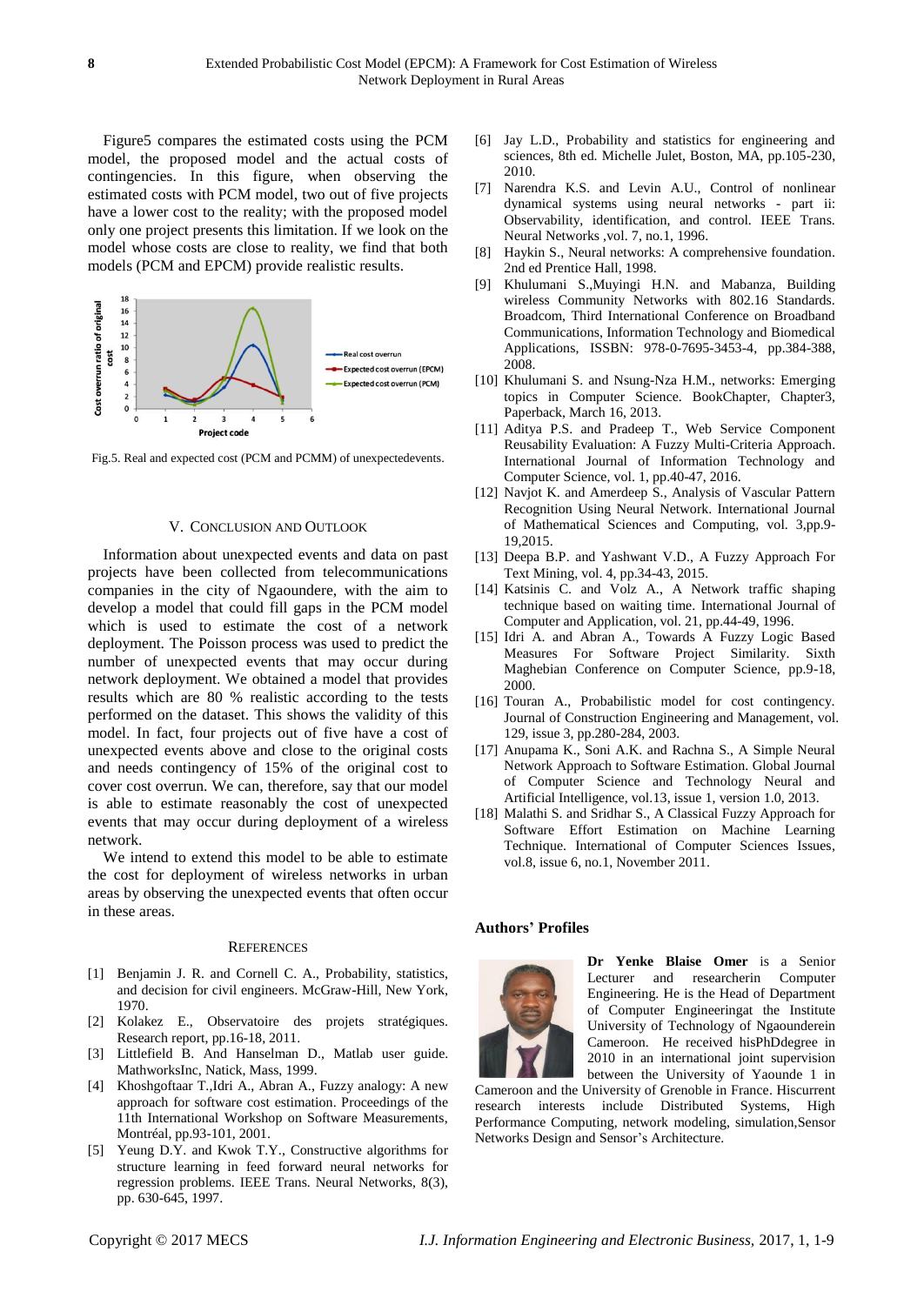Figure5 compares the estimated costs using the PCM model, the proposed model and the actual costs of contingencies. In this figure, when observing the estimated costs with PCM model, two out of five projects have a lower cost to the reality; with the proposed model only one project presents this limitation. If we look on the model whose costs are close to reality, we find that both models (PCM and EPCM) provide realistic results.



Fig.5. Real and expected cost (PCM and PCMM) of unexpectedevents.

#### V. CONCLUSION AND OUTLOOK

Information about unexpected events and data on past projects have been collected from telecommunications companies in the city of Ngaoundere, with the aim to develop a model that could fill gaps in the PCM model which is used to estimate the cost of a network deployment. The Poisson process was used to predict the number of unexpected events that may occur during network deployment. We obtained a model that provides results which are 80 % realistic according to the tests performed on the dataset. This shows the validity of this model. In fact, four projects out of five have a cost of unexpected events above and close to the original costs and needs contingency of 15% of the original cost to cover cost overrun. We can, therefore, say that our model is able to estimate reasonably the cost of unexpected events that may occur during deployment of a wireless network.

We intend to extend this model to be able to estimate the cost for deployment of wireless networks in urban areas by observing the unexpected events that often occur in these areas.

#### **REFERENCES**

- [1] Benjamin J. R. and Cornell C. A., Probability, statistics, and decision for civil engineers. McGraw-Hill, New York, 1970.
- [2] Kolakez E., Observatoire des projets stratégiques. Research report, pp.16-18, 2011.
- [3] Littlefield B. And Hanselman D., Matlab user guide. MathworksInc, Natick, Mass, 1999.
- [4] Khoshgoftaar T.,Idri A., Abran A., Fuzzy analogy: A new approach for software cost estimation. Proceedings of the 11th International Workshop on Software Measurements, Montréal, pp.93-101, 2001.
- [5] Yeung D.Y. and Kwok T.Y., Constructive algorithms for structure learning in feed forward neural networks for regression problems. IEEE Trans. Neural Networks, 8(3), pp. 630-645, 1997.
- [6] Jay L.D., Probability and statistics for engineering and sciences, 8th ed. Michelle Julet, Boston, MA, pp.105-230, 2010.
- [7] Narendra K.S. and Levin A.U., Control of nonlinear dynamical systems using neural networks - part ii: Observability, identification, and control. IEEE Trans. Neural Networks ,vol. 7, no.1, 1996.
- [8] Haykin S., Neural networks: A comprehensive foundation. 2nd ed Prentice Hall, 1998.
- [9] Khulumani S.,Muyingi H.N. and Mabanza, Building wireless Community Networks with 802.16 Standards. Broadcom, Third International Conference on Broadband Communications, Information Technology and Biomedical Applications, ISSBN: 978-0-7695-3453-4, pp.384-388, 2008.
- [10] Khulumani S. and Nsung-Nza H.M., networks: Emerging topics in Computer Science. BookChapter, Chapter3, Paperback, March 16, 2013.
- [11] Aditya P.S. and Pradeep T., Web Service Component Reusability Evaluation: A Fuzzy Multi-Criteria Approach. International Journal of Information Technology and Computer Science, vol. 1, pp.40-47, 2016.
- [12] Navjot K. and Amerdeep S., Analysis of Vascular Pattern Recognition Using Neural Network. International Journal of Mathematical Sciences and Computing, vol. 3,pp.9- 19,2015.
- [13] Deepa B.P. and Yashwant V.D., A Fuzzy Approach For Text Mining, vol. 4, pp.34-43, 2015.
- [14] Katsinis C. and Volz A., A Network traffic shaping technique based on waiting time. International Journal of Computer and Application, vol. 21, pp.44-49, 1996.
- [15] Idri A. and Abran A., Towards A Fuzzy Logic Based Measures For Software Project Similarity. Sixth Maghebian Conference on Computer Science, pp.9-18, 2000.
- [16] Touran A., Probabilistic model for cost contingency. Journal of Construction Engineering and Management, vol. 129, issue 3, pp.280-284, 2003.
- [17] Anupama K., Soni A.K. and Rachna S., A Simple Neural Network Approach to Software Estimation. Global Journal of Computer Science and Technology Neural and Artificial Intelligence, vol.13, issue 1, version 1.0, 2013.
- [18] Malathi S. and Sridhar S., A Classical Fuzzy Approach for Software Effort Estimation on Machine Learning Technique. International of Computer Sciences Issues, vol.8, issue 6, no.1, November 2011.

# **Authors' Profiles**



**Dr Yenke Blaise Omer** is a Senior Lecturer and researcherin Computer Engineering. He is the Head of Department of Computer Engineeringat the Institute University of Technology of Ngaounderein Cameroon. He received hisPhDdegree in 2010 in an international joint supervision between the University of Yaounde 1 in

Cameroon and the University of Grenoble in France. Hiscurrent research interests include Distributed Systems, High Performance Computing, network modeling, simulation,Sensor Networks Design and Sensor's Architecture.